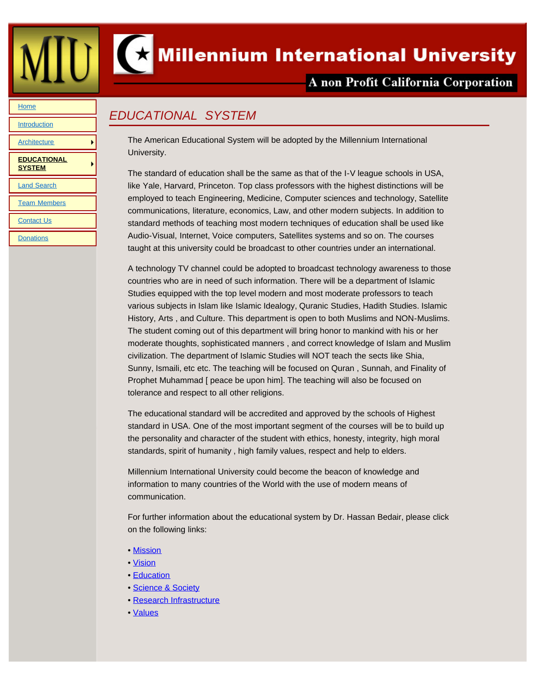<span id="page-0-0"></span>



*EDUCATIONAL SYSTEM*

## $\left( \right)$  Millennium International University

## A non Profit California Corporation

## **[Home](file:///Users/charlesfeldman/Documents/local_sites/MillenniumUniv/index.html)**

**[Introduction](file:///Users/charlesfeldman/Documents/local_sites/MillenniumUniv/introduction.html)** 

**[Architecture](file:///Users/charlesfeldman/Documents/local_sites/MillenniumUniv/architecture.html)** 

**[EDUCATIONAL](#page-0-0) [SYSTEM](#page-0-0)**

[Land Search](file:///Users/charlesfeldman/Documents/local_sites/MillenniumUniv/land.html)

[Team Members](file:///Users/charlesfeldman/Documents/local_sites/MillenniumUniv/teams.html)

**[Contact Us](file:///Users/charlesfeldman/Documents/local_sites/MillenniumUniv/contact_us.html)** 

**[Donations](file:///Users/charlesfeldman/Documents/local_sites/MillenniumUniv/donations.html)** 

The American Educational System will be adopted by the Millennium International University.

The standard of education shall be the same as that of the I-V league schools in USA, like Yale, Harvard, Princeton. Top class professors with the highest distinctions will be employed to teach Engineering, Medicine, Computer sciences and technology, Satellite communications, literature, economics, Law, and other modern subjects. In addition to standard methods of teaching most modern techniques of education shall be used like Audio-Visual, Internet, Voice computers, Satellites systems and so on. The courses taught at this university could be broadcast to other countries under an international.

A technology TV channel could be adopted to broadcast technology awareness to those countries who are in need of such information. There will be a department of Islamic Studies equipped with the top level modern and most moderate professors to teach various subjects in Islam like Islamic Idealogy, Quranic Studies, Hadith Studies. Islamic History, Arts , and Culture. This department is open to both Muslims and NON-Muslims. The student coming out of this department will bring honor to mankind with his or her moderate thoughts, sophisticated manners , and correct knowledge of Islam and Muslim civilization. The department of Islamic Studies will NOT teach the sects like Shia, Sunny, Ismaili, etc etc. The teaching will be focused on Quran , Sunnah, and Finality of Prophet Muhammad [ peace be upon him]. The teaching will also be focused on tolerance and respect to all other religions.

The educational standard will be accredited and approved by the schools of Highest standard in USA. One of the most important segment of the courses will be to build up the personality and character of the student with ethics, honesty, integrity, high moral standards, spirit of humanity , high family values, respect and help to elders.

Millennium International University could become the beacon of knowledge and information to many countries of the World with the use of modern means of communication.

For further information about the educational system by Dr. Hassan Bedair, please click on the following links:

- • [Mission](file:///Users/charlesfeldman/Documents/local_sites/MillenniumUniv/mission.html)
- • [Vision](file:///Users/charlesfeldman/Documents/local_sites/MillenniumUniv/vision.html)
- • [Education](file:///Users/charlesfeldman/Documents/local_sites/MillenniumUniv/education.html)
- • [Science & Society](file:///Users/charlesfeldman/Documents/local_sites/MillenniumUniv/science.html)
- • [Research Infrastructure](file:///Users/charlesfeldman/Documents/local_sites/MillenniumUniv/research.html)
- • [Values](file:///Users/charlesfeldman/Documents/local_sites/MillenniumUniv/values.html)